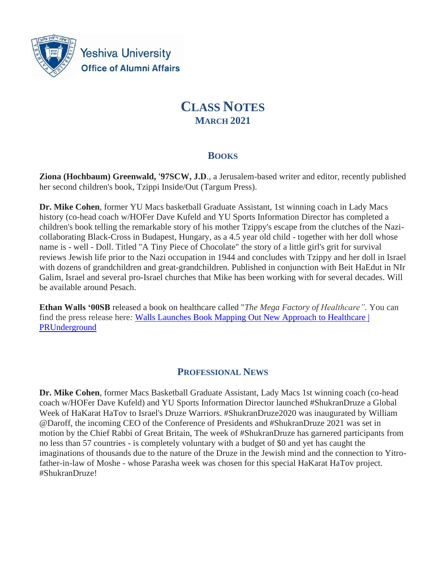

**Yeshiva University Office of Alumni Affairs** 

# **CLASS NOTES MARCH 2021**

# **BOOKS**

**Ziona (Hochbaum) Greenwald, '97SCW, J.D**., a Jerusalem-based writer and editor, recently published her second children's book, Tzippi Inside/Out (Targum Press).

**Dr. Mike Cohen**, former YU Macs basketball Graduate Assistant, 1st winning coach in Lady Macs history (co-head coach w/HOFer Dave Kufeld and YU Sports Information Director has completed a children's book telling the remarkable story of his mother Tzippy's escape from the clutches of the Nazicollaborating Black-Cross in Budapest, Hungary, as a 4.5 year old child - together with her doll whose name is - well - Doll. Titled "A Tiny Piece of Chocolate" the story of a little girl's grit for survival reviews Jewish life prior to the Nazi occupation in 1944 and concludes with Tzippy and her doll in Israel with dozens of grandchildren and great-grandchildren. Published in conjunction with Beit HaEdut in NIr Galim, Israel and several pro-Israel churches that Mike has been working with for several decades. Will be available around Pesach.

**Ethan Walls '00SB** released a book on healthcare called "*The Mega Factory of Healthcare".* You can find the press release here*:* [Walls Launches Book Mapping Out New Approach to Healthcare |](https://www.prunderground.com/walls-launches-book-mapping-out-new-approach-to-healthcare/00222060/)  [PRUnderground](https://www.prunderground.com/walls-launches-book-mapping-out-new-approach-to-healthcare/00222060/)

# **PROFESSIONAL NEWS**

**Dr. Mike Cohen**, former Macs Basketball Graduate Assistant, Lady Macs 1st winning coach (co-head coach w/HOFer Dave Kufeld) and YU Sports Information Director launched #ShukranDruze a Global Week of HaKarat HaTov to Israel's Druze Warriors. #ShukranDruze2020 was inaugurated by William @Daroff, the incoming CEO of the Conference of Presidents and #ShukranDruze 2021 was set in motion by the Chief Rabbi of Great Britain, The week of #ShukranDruze has garnered participants from no less than 57 countries - is completely voluntary with a budget of \$0 and yet has caught the imaginations of thousands due to the nature of the Druze in the Jewish mind and the connection to Yitrofather-in-law of Moshe - whose Parasha week was chosen for this special HaKarat HaTov project. #ShukranDruze!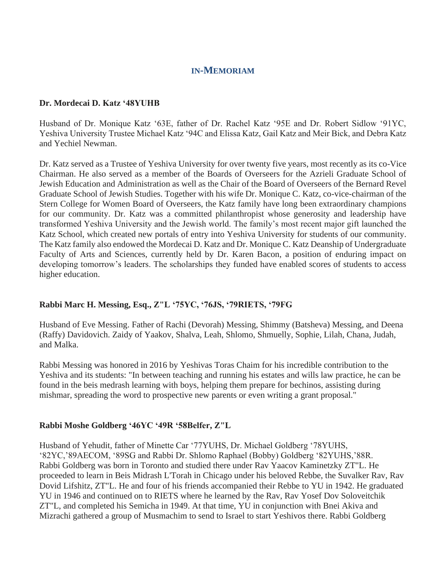# **IN-MEMORIAM**

### **Dr. Mordecai D. Katz '48YUHB**

Husband of Dr. Monique Katz '63E, father of Dr. Rachel Katz '95E and Dr. Robert Sidlow '91YC, Yeshiva University Trustee Michael Katz '94C and Elissa Katz, Gail Katz and Meir Bick, and Debra Katz and Yechiel Newman.

Dr. Katz served as a Trustee of Yeshiva University for over twenty five years, most recently as its co-Vice Chairman. He also served as a member of the Boards of Overseers for the Azrieli Graduate School of Jewish Education and Administration as well as the Chair of the Board of Overseers of the Bernard Revel Graduate School of Jewish Studies. Together with his wife Dr. Monique C. Katz, co-vice-chairman of the Stern College for Women Board of Overseers, the Katz family have long been extraordinary champions for our community. Dr. Katz was a committed philanthropist whose generosity and leadership have transformed Yeshiva University and the Jewish world. The family's most recent major gift launched the Katz School, which created new portals of entry into Yeshiva University for students of our community. The Katz family also endowed the Mordecai D. Katz and Dr. Monique C. Katz Deanship of Undergraduate Faculty of Arts and Sciences, currently held by Dr. Karen Bacon, a position of enduring impact on developing tomorrow's leaders. The scholarships they funded have enabled scores of students to access higher education.

# **Rabbi Marc H. Messing, Esq., Z"L '75YC, '76JS, '79RIETS, '79FG**

Husband of Eve Messing. Father of Rachi (Devorah) Messing, Shimmy (Batsheva) Messing, and Deena (Raffy) Davidovich. Zaidy of Yaakov, Shalva, Leah, Shlomo, Shmuelly, Sophie, Lilah, Chana, Judah, and Malka.

Rabbi Messing was honored in 2016 by Yeshivas Toras Chaim for his incredible contribution to the Yeshiva and its students: "In between teaching and running his estates and wills law practice, he can be found in the beis medrash learning with boys, helping them prepare for bechinos, assisting during mishmar, spreading the word to prospective new parents or even writing a grant proposal."

### **Rabbi Moshe Goldberg '46YC '49R '58Belfer, Z"L**

Husband of Yehudit, father of Minette Car '77YUHS, Dr. Michael Goldberg '78YUHS, '82YC,'89AECOM, '89SG and Rabbi Dr. Shlomo Raphael (Bobby) Goldberg '82YUHS,'88R. Rabbi Goldberg was born in Toronto and studied there under Rav Yaacov Kaminetzky ZT"L. He proceeded to learn in Beis Midrash L'Torah in Chicago under his beloved Rebbe, the Suvalker Rav, Rav Dovid Lifshitz, ZT"L. He and four of his friends accompanied their Rebbe to YU in 1942. He graduated YU in 1946 and continued on to RIETS where he learned by the Rav, Rav Yosef Dov Soloveitchik ZT"L, and completed his Semicha in 1949. At that time, YU in conjunction with Bnei Akiva and Mizrachi gathered a group of Musmachim to send to Israel to start Yeshivos there. Rabbi Goldberg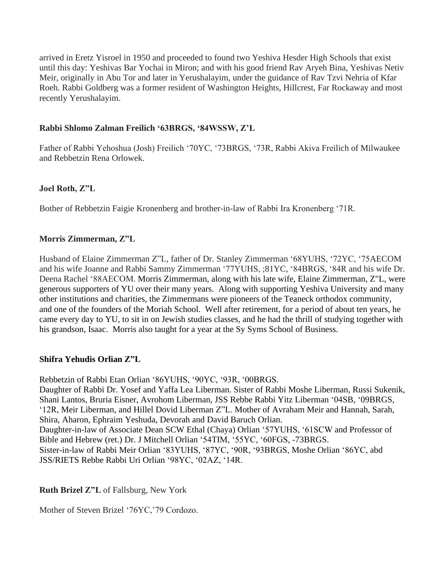arrived in Eretz Yisroel in 1950 and proceeded to found two Yeshiva Hesder High Schools that exist until this day: Yeshivas Bar Yochai in Miron; and with his good friend Rav Aryeh Bina, Yeshivas Netiv Meir, originally in Abu Tor and later in Yerushalayim, under the guidance of Rav Tzvi Nehria of Kfar Roeh. Rabbi Goldberg was a former resident of Washington Heights, Hillcrest, Far Rockaway and most recently Yerushalayim.

# **Rabbi Shlomo Zalman Freilich '63BRGS, '84WSSW, Z'L**

Father of Rabbi Yehoshua (Josh) Freilich '70YC, '73BRGS, '73R, Rabbi Akiva Freilich of Milwaukee and Rebbetzin Rena Orlowek.

# **Joel Roth, Z"L**

Bother of Rebbetzin Faigie Kronenberg and brother-in-law of Rabbi Ira Kronenberg '71R.

# **Morris Zimmerman, Z"L**

Husband of Elaine Zimmerman Z"L, father of Dr. Stanley Zimmerman '68YUHS, '72YC, '75AECOM and his wife Joanne and Rabbi Sammy Zimmerman '77YUHS, ;81YC, '84BRGS, '84R and his wife Dr. Deena Rachel '88AECOM. Morris Zimmerman, along with his late wife, Elaine Zimmerman, Z"L, were generous supporters of YU over their many years. Along with supporting Yeshiva University and many other institutions and charities, the Zimmermans were pioneers of the Teaneck orthodox community, and one of the founders of the Moriah School. Well after retirement, for a period of about ten years, he came every day to YU, to sit in on Jewish studies classes, and he had the thrill of studying together with his grandson, Isaac. Morris also taught for a year at the Sy Syms School of Business.

### **Shifra Yehudis Orlian Z"L**

Rebbetzin of Rabbi Etan Orlian '86YUHS, '90YC, '93R, '00BRGS.

Daughter of Rabbi Dr. Yosef and Yaffa Lea Liberman. Sister of Rabbi Moshe Liberman, Russi Sukenik, Shani Lantos, Bruria Eisner, Avrohom Liberman, JSS Rebbe Rabbi Yitz Liberman '04SB, '09BRGS, '12R, Meir Liberman, and Hillel Dovid Liberman Z"L. Mother of Avraham Meir and Hannah, Sarah, Shira, Aharon, Ephraim Yeshuda, Devorah and David Baruch Orlian. Daughter-in-law of Associate Dean SCW Ethal (Chaya) Orlian '57YUHS, '61SCW and Professor of Bible and Hebrew (ret.) Dr. J Mitchell Orlian '54TIM, '55YC, '60FGS, -73BRGS. Sister-in-law of Rabbi Meir Orlian '83YUHS, '87YC, '90R, '93BRGS, Moshe Orlian '86YC, abd JSS/RIETS Rebbe Rabbi Uri Orlian '98YC, '02AZ, '14R.

# **Ruth Brizel Z"L** of Fallsburg, New York

Mother of Steven Brizel '76YC,'79 Cordozo.